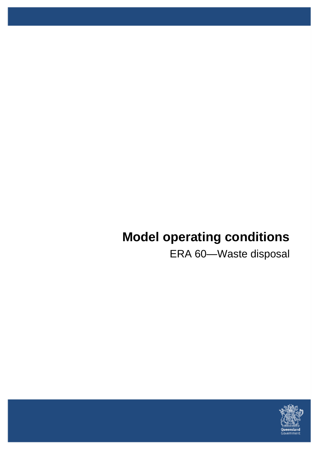# **Model operating conditions**

ERA 60—Waste disposal

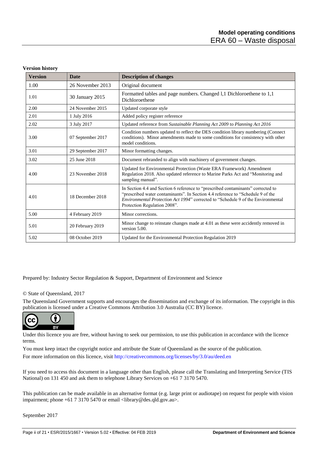| <b>Version</b> | <b>Date</b>       | <b>Description of changes</b>                                                                                                                                                                                                                                                                   |
|----------------|-------------------|-------------------------------------------------------------------------------------------------------------------------------------------------------------------------------------------------------------------------------------------------------------------------------------------------|
| 1.00           | 26 November 2013  | Original document                                                                                                                                                                                                                                                                               |
| 1.01           | 30 January 2015   | Formatted tables and page numbers. Changed 1,1 Dichloroethene to 1,1<br>Dichloroethene                                                                                                                                                                                                          |
| 2.00           | 24 November 2015  | Updated corporate style                                                                                                                                                                                                                                                                         |
| 2.01           | 1 July 2016       | Added policy register reference                                                                                                                                                                                                                                                                 |
| 2.02           | 3 July 2017       | Updated reference from Sustainable Planning Act 2009 to Planning Act 2016                                                                                                                                                                                                                       |
| 3.00           | 07 September 2017 | Condition numbers updated to reflect the DES condition library numbering (Connect<br>conditions). Minor amendments made to some conditions for consistency with other<br>model conditions.                                                                                                      |
| 3.01           | 29 September 2017 | Minor formatting changes.                                                                                                                                                                                                                                                                       |
| 3.02           | 25 June 2018      | Document rebranded to align with machinery of government changes.                                                                                                                                                                                                                               |
| 4.00           | 23 November 2018  | Updated for Environmental Protection (Waste ERA Framework) Amendment<br>Regulation 2018. Also updated reference to Marine Parks Act and "Monitoring and<br>sampling manual".                                                                                                                    |
| 4.01           | 18 December 2018  | In Section 4.4 and Section 6 reference to "prescribed contaminants" corrected to<br>"prescribed water contaminants". In Section 4.4 reference to "Schedule 9 of the<br><i>Environmental Protection Act 1994</i> " corrected to "Schedule 9 of the Environmental<br>Protection Regulation 2008". |
| 5.00           | 4 February 2019   | Minor corrections.                                                                                                                                                                                                                                                                              |
| 5.01           | 20 February 2019  | Minor change to reinstate changes made at 4.01 as these were accidently removed in<br>version 5.00.                                                                                                                                                                                             |
| 5.02           | 08 October 2019   | Updated for the Environmental Protection Regulation 2019                                                                                                                                                                                                                                        |

Prepared by: Industry Sector Regulation & Support, Department of Environment and Science

#### © State of Queensland, 2017

The Queensland Government supports and encourages the dissemination and exchange of its information. The copyright in this publication is licensed under a Creative Commons Attribution 3.0 Australia (CC BY) licence.



Under this licence you are free, without having to seek our permission, to use this publication in accordance with the licence terms.

You must keep intact the copyright notice and attribute the State of Queensland as the source of the publication. For more information on this licence, visit<http://creativecommons.org/licenses/by/3.0/au/deed.en>

If you need to access this document in a language other than English, please call the Translating and Interpreting Service (TIS National) on 131 450 and ask them to telephone Library Services on +61 7 3170 5470.

This publication can be made available in an alternative format (e.g. large print or audiotape) on request for people with vision impairment; phone +61 7 3170 5470 or email <library@des.qld.gov.au>.

September 2017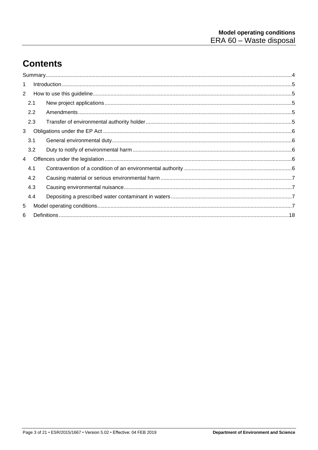## **Contents**

| 1 |     |  |
|---|-----|--|
| 2 |     |  |
|   | 2.1 |  |
|   | 2.2 |  |
|   | 2.3 |  |
| 3 |     |  |
|   | 3.1 |  |
|   | 3.2 |  |
| 4 |     |  |
|   | 4.1 |  |
|   | 4.2 |  |
|   | 4.3 |  |
|   | 4.4 |  |
| 5 |     |  |
| 6 |     |  |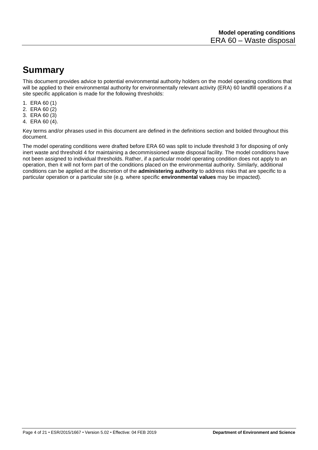### **Summary**

This document provides advice to potential environmental authority holders on the model operating conditions that will be applied to their environmental authority for environmentally relevant activity (ERA) 60 landfill operations if a site specific application is made for the following thresholds:

- 1. ERA 60 (1)
- 2. ERA 60 (2)
- 3. ERA 60 (3)
- 4. ERA 60 (4).

Key terms and/or phrases used in this document are defined in the definitions section and bolded throughout this document.

The model operating conditions were drafted before ERA 60 was split to include threshold 3 for disposing of only inert waste and threshold 4 for maintaining a decommissioned waste disposal facility. The model conditions have not been assigned to individual thresholds. Rather, if a particular model operating condition does not apply to an operation, then it will not form part of the conditions placed on the environmental authority. Similarly, additional conditions can be applied at the discretion of the **administering authority** to address risks that are specific to a particular operation or a particular site (e.g. where specific **environmental values** may be impacted).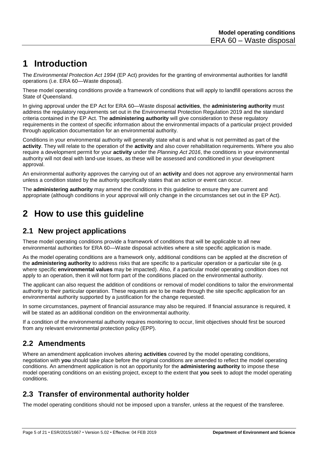### **1 Introduction**

The *Environmental Protection Act 1994* (EP Act) provides for the granting of environmental authorities for landfill operations (i.e. ERA 60—Waste disposal).

These model operating conditions provide a framework of conditions that will apply to landfill operations across the State of Queensland.

In giving approval under the EP Act for ERA 60—Waste disposal **activities**, the **administering authority** must address the regulatory requirements set out in the Environmental Protection Regulation 2019 and the standard criteria contained in the EP Act. The **administering authority** will give consideration to these regulatory requirements in the context of specific information about the environmental impacts of a particular project provided through application documentation for an environmental authority.

Conditions in your environmental authority will generally state what is and what is not permitted as part of the **activity**. They will relate to the operation of the **activity** and also cover rehabilitation requirements. Where you also require a development permit for your **activity** under the *Planning Act 2016*, the conditions in your environmental authority will not deal with land-use issues, as these will be assessed and conditioned in your development approval.

An environmental authority approves the carrying out of an **activity** and does not approve any environmental harm unless a condition stated by the authority specifically states that an action or event can occur.

The **administering authority** may amend the conditions in this guideline to ensure they are current and appropriate (although conditions in your approval will only change in the circumstances set out in the EP Act).

### **2 How to use this guideline**

### **2.1 New project applications**

These model operating conditions provide a framework of conditions that will be applicable to all new environmental authorities for ERA 60—Waste disposal activities where a site specific application is made.

As the model operating conditions are a framework only, additional conditions can be applied at the discretion of the **administering authority** to address risks that are specific to a particular operation or a particular site (e.g. where specific **environmental values** may be impacted). Also, if a particular model operating condition does not apply to an operation, then it will not form part of the conditions placed on the environmental authority.

The applicant can also request the addition of conditions or removal of model conditions to tailor the environmental authority to their particular operation. These requests are to be made through the site specific application for an environmental authority supported by a justification for the change requested.

In some circumstances, payment of financial assurance may also be required. If financial assurance is required, it will be stated as an additional condition on the environmental authority.

If a condition of the environmental authority requires monitoring to occur, limit objectives should first be sourced from any relevant environmental protection policy (EPP).

### **2.2 Amendments**

Where an amendment application involves altering **activities** covered by the model operating conditions, negotiation with **you** should take place before the original conditions are amended to reflect the model operating conditions. An amendment application is not an opportunity for the **administering authority** to impose these model operating conditions on an existing project, except to the extent that **you** seek to adopt the model operating conditions.

### **2.3 Transfer of environmental authority holder**

The model operating conditions should not be imposed upon a transfer, unless at the request of the transferee.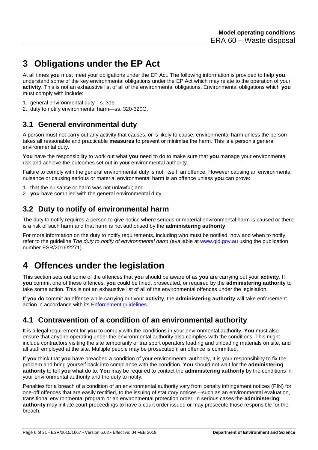## **3 Obligations under the EP Act**

At all times **you** must meet your obligations under the EP Act. The following information is provided to help **you** understand some of the key environmental obligations under the EP Act which may relate to the operation of your **activity**. This is not an exhaustive list of all of the environmental obligations. Environmental obligations which **you** must comply with include:

- 1. general environmental duty—s. 319
- 2. duty to notify environmental harm—ss. 320-320G.

#### **3.1 General environmental duty**

A person must not carry out any activity that causes, or is likely to cause, environmental harm unless the person takes all reasonable and practicable **measures** to prevent or minimise the harm. This is a person's general environmental duty.

**You** have the responsibility to work out what **you** need to do to make sure that **you** manage your environmental risk and achieve the outcomes set out in your environmental authority.

Failure to comply with the general environmental duty is not, itself, an offence. However causing an environmental nuisance or causing serious or material environmental harm is an offence unless **you** can prove:

- 1. that the nuisance or harm was not unlawful; and
- 2. **you** have complied with the general environmental duty.

### **3.2 Duty to notify of environmental harm**

The duty to notify requires a person to give notice where serious or material environmental harm is caused or there is a risk of such harm and that harm is not authorised by the **administering authority**.

For more information on the duty to notify requirements, including who must be notified, how and when to notify, refer to the guideline *The duty to notify of environmental harm* (available at [www.qld.gov.au](http://www.qld.gov.au/) using the publication number ESR/2016/2271).

### **4 Offences under the legislation**

This section sets out some of the offences that **you** should be aware of as **you** are carrying out your **activity**. If **you** commit one of these offences, **you** could be fined, prosecuted, or required by the **administering authority** to take some action. This is not an exhaustive list of all of the environmental offences under the legislation.

If **you** do commit an offence while carrying out your **activity**, the **administering authority** will take enforcement action in accordance with its [Enforcement guidelines.](http://www.ehp.qld.gov.au/management/pdf/enforcement-guidelines.pdf)

#### **4.1 Contravention of a condition of an environmental authority**

It is a legal requirement for **you** to comply with the conditions in your environmental authority. **You** must also ensure that anyone operating under the environmental authority also complies with the conditions. This might include contractors visiting the site temporarily or transport operators loading and unloading materials on site, and all staff employed at the site. Multiple people may be prosecuted if an offence is committed.

If **you** think that **you** have breached a condition of your environmental authority, it is your responsibility to fix the problem and bring yourself back into compliance with the condition. **You** should not wait for the **administering authority** to tell **you** what do to. **You** may be required to contact the **administering authority** by the conditions in your environmental authority and the duty to notify.

Penalties for a breach of a condition of an environmental authority vary from penalty infringement notices (PIN) for one-off offences that are easily rectified, to the issuing of statutory notices—such as an environmental evaluation, transitional environmental program or an environmental protection order. In serious cases the **administering authority** may initiate court proceedings to have a court order issued or may prosecute those responsible for the breach.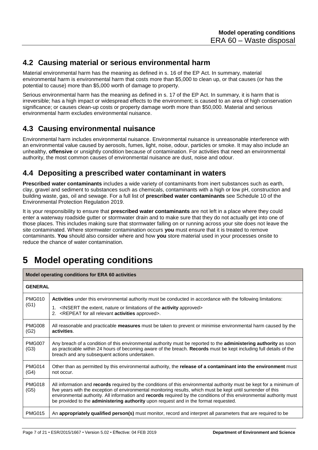#### **4.2 Causing material or serious environmental harm**

Material environmental harm has the meaning as defined in s. 16 of the EP Act. In summary, material environmental harm is environmental harm that costs more than \$5,000 to clean up, or that causes (or has the potential to cause) more than \$5,000 worth of damage to property.

Serious environmental harm has the meaning as defined in s. 17 of the EP Act. In summary, it is harm that is irreversible; has a high impact or widespread effects to the environment; is caused to an area of high conservation significance; or causes clean-up costs or property damage worth more than \$50,000. Material and serious environmental harm excludes environmental nuisance.

### **4.3 Causing environmental nuisance**

Environmental harm includes environmental nuisance. Environmental nuisance is unreasonable interference with an environmental value caused by aerosols, fumes, light, noise, odour, particles or smoke. It may also include an unhealthy, **offensive** or unsightly condition because of contamination. For activities that need an environmental authority, the most common causes of environmental nuisance are dust, noise and odour.

### **4.4 Depositing a prescribed water contaminant in waters**

**Prescribed water contaminants** includes a wide variety of contaminants from inert substances such as earth, clay, gravel and sediment to substances such as chemicals, contaminants with a high or low pH, construction and building waste, gas, oil and sewage. For a full list of **prescribed water contaminants** see Schedule 10 of the Environmental Protection Regulation 2019.

It is your responsibility to ensure that **prescribed water contaminants** are not left in a place where they could enter a waterway roadside gutter or stormwater drain and to make sure that they do not actually get into one of those places. This includes making sure that stormwater falling on or running across your site does not leave the site contaminated. Where stormwater contamination occurs **you** must ensure that it is treated to remove contaminants. **You** should also consider where and how **you** store material used in your processes onsite to reduce the chance of water contamination.

## **5 Model operating conditions**

| Model operating conditions for ERA 60 activities |                                                                                                                                                                                                                                                                                                                                                                                                                                                       |  |  |  |
|--------------------------------------------------|-------------------------------------------------------------------------------------------------------------------------------------------------------------------------------------------------------------------------------------------------------------------------------------------------------------------------------------------------------------------------------------------------------------------------------------------------------|--|--|--|
| <b>GENERAL</b>                                   |                                                                                                                                                                                                                                                                                                                                                                                                                                                       |  |  |  |
| <b>PMG010</b><br>(G1)                            | Activities under this environmental authority must be conducted in accordance with the following limitations:<br>1. <insert <b="" extent,="" limitations="" nature="" of="" or="" the="">activity approved<br/>2. <repeat <b="" all="" for="" relevant="">activities approved&gt;.</repeat></insert>                                                                                                                                                  |  |  |  |
| <b>PMG008</b><br>(G2)                            | All reasonable and practicable <b>measures</b> must be taken to prevent or minimise environmental harm caused by the<br>activities.                                                                                                                                                                                                                                                                                                                   |  |  |  |
| <b>PMG007</b><br>(G3)                            | Any breach of a condition of this environmental authority must be reported to the administering authority as soon<br>as practicable within 24 hours of becoming aware of the breach. Records must be kept including full details of the<br>breach and any subsequent actions undertaken.                                                                                                                                                              |  |  |  |
| <b>PMG014</b><br>(G4)                            | Other than as permitted by this environmental authority, the release of a contaminant into the environment must<br>not occur.                                                                                                                                                                                                                                                                                                                         |  |  |  |
| <b>PMG018</b><br>(G5)                            | All information and records required by the conditions of this environmental authority must be kept for a minimum of<br>five years with the exception of environmental monitoring results, which must be kept until surrender of this<br>environmental authority. All information and records required by the conditions of this environmental authority must<br>be provided to the administering authority upon request and in the format requested. |  |  |  |
| <b>PMG015</b>                                    | An appropriately qualified person(s) must monitor, record and interpret all parameters that are required to be                                                                                                                                                                                                                                                                                                                                        |  |  |  |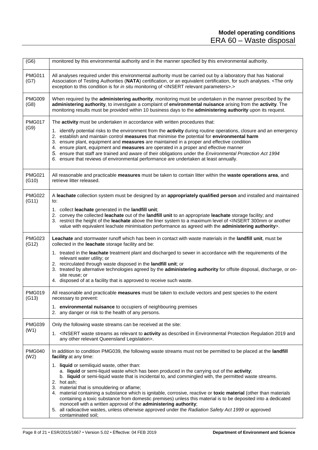| (G6)                   | monitored by this environmental authority and in the manner specified by this environmental authority.                                                                                                                                                                                                                                                                                                                                                                                                                                                                                                                                                                                                                                                                                                                                                                                                 |
|------------------------|--------------------------------------------------------------------------------------------------------------------------------------------------------------------------------------------------------------------------------------------------------------------------------------------------------------------------------------------------------------------------------------------------------------------------------------------------------------------------------------------------------------------------------------------------------------------------------------------------------------------------------------------------------------------------------------------------------------------------------------------------------------------------------------------------------------------------------------------------------------------------------------------------------|
| <b>PMG011</b><br>(G7)  | All analyses required under this environmental authority must be carried out by a laboratory that has National<br>Association of Testing Authorities (NATA) certification, or an equivalent certification, for such analyses. <the only<br="">exception to this condition is for in situ monitoring of <insert parameters="" relevant="">.&gt;</insert></the>                                                                                                                                                                                                                                                                                                                                                                                                                                                                                                                                          |
| <b>PMG009</b><br>(G8)  | When required by the administering authority, monitoring must be undertaken in the manner prescribed by the<br>administering authority, to investigate a complaint of environmental nuisance arising from the activity. The<br>monitoring results must be provided within 10 business days to the administering authority upon its request.                                                                                                                                                                                                                                                                                                                                                                                                                                                                                                                                                            |
| <b>PMG017</b><br>(G9)  | The activity must be undertaken in accordance with written procedures that:<br>1. identify potential risks to the environment from the activity during routine operations, closure and an emergency<br>2. establish and maintain control measures that minimise the potential for environmental harm<br>3. ensure plant, equipment and measures are maintained in a proper and effective condition<br>4. ensure plant, equipment and measures are operated in a proper and effective manner<br>5. ensure that staff are trained and aware of their obligations under the Environmental Protection Act 1994<br>6. ensure that reviews of environmental performance are undertaken at least annually.                                                                                                                                                                                                    |
| <b>PMG021</b><br>(G10) | All reasonable and practicable measures must be taken to contain litter within the waste operations area, and<br>retrieve litter released.                                                                                                                                                                                                                                                                                                                                                                                                                                                                                                                                                                                                                                                                                                                                                             |
| PMG022<br>(G11)        | A leachate collection system must be designed by an appropriately qualified person and installed and maintained<br>to:<br>1. collect leachate generated in the landfill unit;<br>2. convey the collected leachate out of the landfill unit to an appropriate leachate storage facility; and<br>3. restrict the height of the leachate above the liner system to a maximum level of <insert 300mm="" another<br="" or="">value with equivalent leachate minimisation performance as agreed with the administering authority&gt;.</insert>                                                                                                                                                                                                                                                                                                                                                               |
| <b>PMG023</b><br>(G12) | Leachate and stormwater runoff which has been in contact with waste materials in the landfill unit, must be<br>collected in the leachate storage facility and be:<br>1. treated in the leachate treatment plant and discharged to sewer in accordance with the requirements of the<br>relevant water utility; or<br>2. recirculated through waste disposed in the landfill unit; or<br>3. treated by alternative technologies agreed by the administering authority for offsite disposal, discharge, or on-<br>site reuse; or<br>4. disposed of at a facility that is approved to receive such waste.                                                                                                                                                                                                                                                                                                  |
| <b>PMG019</b><br>(G13) | All reasonable and practicable measures must be taken to exclude vectors and pest species to the extent<br>necessary to prevent:<br>1. environmental nuisance to occupiers of neighbouring premises<br>2. any danger or risk to the health of any persons.                                                                                                                                                                                                                                                                                                                                                                                                                                                                                                                                                                                                                                             |
| <b>PMG039</b><br>(W1)  | Only the following waste streams can be received at the site:<br>1. <insert 2019="" activity="" and<br="" as="" described="" environmental="" in="" protection="" regulation="" relevant="" streams="" to="" waste="">any other relevant Queensland Legislation&gt;.</insert>                                                                                                                                                                                                                                                                                                                                                                                                                                                                                                                                                                                                                          |
| <b>PMG040</b><br>(W2)  | In addition to condition PMG039, the following waste streams must not be permitted to be placed at the landfill<br>facility at any time:<br>1. liquid or semiliquid waste, other than:<br>a. liquid or semi-liquid waste which has been produced in the carrying out of the activity;<br>b. liquid or semi-liquid waste that is incidental to, and commingled with, the permitted waste streams.<br>2. hot ash;<br>3. material that is smouldering or aflame;<br>4. material containing a substance which is ignitable, corrosive, reactive or toxic material (other than materials<br>containing a toxic substance from domestic premises) unless this material is to be deposited into a dedicated<br>monocell with a written approval of the administering authority;<br>5. all radioactive wastes, unless otherwise approved under the Radiation Safety Act 1999 or approved<br>contaminated soil; |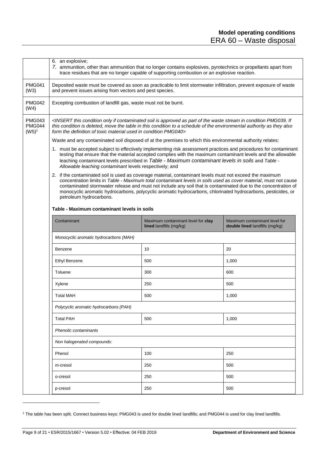<span id="page-8-0"></span>

|                                            | 6. an explosive;<br>7. ammunition, other than ammunition that no longer contains explosives, pyrotechnics or propellants apart from<br>trace residues that are no longer capable of supporting combustion or an explosive reaction.                                                                                                                                                                                                                                                       |     |       |  |  |  |  |  |
|--------------------------------------------|-------------------------------------------------------------------------------------------------------------------------------------------------------------------------------------------------------------------------------------------------------------------------------------------------------------------------------------------------------------------------------------------------------------------------------------------------------------------------------------------|-----|-------|--|--|--|--|--|
| <b>PMG041</b><br>(W3)                      | Deposited waste must be covered as soon as practicable to limit stormwater infiltration, prevent exposure of waste<br>and prevent issues arising from vectors and pest species.                                                                                                                                                                                                                                                                                                           |     |       |  |  |  |  |  |
| <b>PMG042</b><br>(W4)                      | Excepting combustion of landfill gas, waste must not be burnt.                                                                                                                                                                                                                                                                                                                                                                                                                            |     |       |  |  |  |  |  |
| <b>PMG043</b><br><b>PMG044</b><br>$(W5)^1$ | <insert approved="" as="" condition="" contaminated="" if="" if<br="" in="" is="" of="" only="" part="" pmg039.="" soil="" stream="" the="" this="" waste="">this condition is deleted, move the table in this condition to a schedule of the environmental authority as they also<br/>form the definition of toxic material used in condition PMG040&gt;</insert>                                                                                                                        |     |       |  |  |  |  |  |
|                                            | Waste and any contaminated soil disposed of at the premises to which this environmental authority relates:                                                                                                                                                                                                                                                                                                                                                                                |     |       |  |  |  |  |  |
|                                            | 1. must be accepted subject to effectively implementing risk assessment practices and procedures for contaminant<br>testing that ensure that the material accepted complies with the maximum contaminant levels and the allowable<br>leaching contaminant levels prescribed in Table - Maximum contaminant levels in soils and Table -<br>Allowable leaching contaminant levels respectively; and                                                                                         |     |       |  |  |  |  |  |
|                                            | 2. if the contaminated soil is used as coverage material, contaminant levels must not exceed the maximum<br>concentration limits in Table - Maximum total contaminant levels in soils used as cover material, must not cause<br>contaminated stormwater release and must not include any soil that is contaminated due to the concentration of<br>monocyclic aromatic hydrocarbons, polycyclic aromatic hydrocarbons, chlorinated hydrocarbons, pesticides, or<br>petroleum hydrocarbons. |     |       |  |  |  |  |  |
|                                            | Table - Maximum contaminant levels in soils                                                                                                                                                                                                                                                                                                                                                                                                                                               |     |       |  |  |  |  |  |
|                                            | Contaminant<br>Maximum contaminant level for clay<br>Maximum contaminant level for<br>lined landfills (mg/kg)<br>double lined landfills (mg/kg)                                                                                                                                                                                                                                                                                                                                           |     |       |  |  |  |  |  |
|                                            | Monocyclic aromatic hydrocarbons (MAH)                                                                                                                                                                                                                                                                                                                                                                                                                                                    |     |       |  |  |  |  |  |
|                                            | Benzene                                                                                                                                                                                                                                                                                                                                                                                                                                                                                   | 10  | 20    |  |  |  |  |  |
|                                            | <b>Ethyl Benzene</b>                                                                                                                                                                                                                                                                                                                                                                                                                                                                      | 500 | 1,000 |  |  |  |  |  |
|                                            | Toluene                                                                                                                                                                                                                                                                                                                                                                                                                                                                                   | 300 | 600   |  |  |  |  |  |
|                                            | Xylene                                                                                                                                                                                                                                                                                                                                                                                                                                                                                    | 250 | 500   |  |  |  |  |  |
|                                            | <b>Total MAH</b>                                                                                                                                                                                                                                                                                                                                                                                                                                                                          | 500 | 1,000 |  |  |  |  |  |
|                                            | Polycyclic aromatic hydrocarbons (PAH)                                                                                                                                                                                                                                                                                                                                                                                                                                                    |     |       |  |  |  |  |  |
|                                            | <b>Total PAH</b>                                                                                                                                                                                                                                                                                                                                                                                                                                                                          | 500 | 1,000 |  |  |  |  |  |
|                                            | Phenolic contaminants                                                                                                                                                                                                                                                                                                                                                                                                                                                                     |     |       |  |  |  |  |  |
|                                            | Non halogenated compounds:                                                                                                                                                                                                                                                                                                                                                                                                                                                                |     |       |  |  |  |  |  |
|                                            | Phenol                                                                                                                                                                                                                                                                                                                                                                                                                                                                                    | 100 | 250   |  |  |  |  |  |
|                                            | m-cresol                                                                                                                                                                                                                                                                                                                                                                                                                                                                                  | 250 | 500   |  |  |  |  |  |
|                                            | o-cresol                                                                                                                                                                                                                                                                                                                                                                                                                                                                                  | 250 | 500   |  |  |  |  |  |
|                                            | p-cresol                                                                                                                                                                                                                                                                                                                                                                                                                                                                                  | 250 | 500   |  |  |  |  |  |

<sup>&</sup>lt;sup>1</sup> The table has been split. Connect business keys: PMG043 is used for double lined landfills; and PMG044 is used for clay lined landfills.

l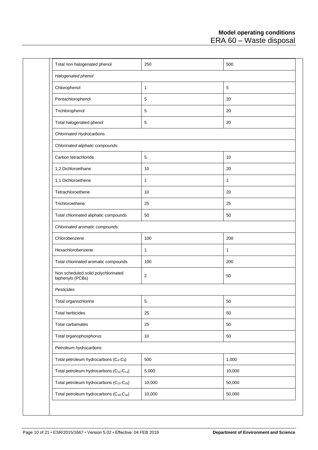| Total non halogenated phenol                                     | 250          | 500          |
|------------------------------------------------------------------|--------------|--------------|
| Halogenated phenol                                               |              |              |
| Chlorophenol                                                     | 1            | $\,$ 5 $\,$  |
| Pentachlorophenol                                                | 5            | 20           |
| Trichlorophenol                                                  | 5            | 20           |
| Total halogenated phenol                                         | $\,$ 5 $\,$  | 20           |
| Chlorinated Hydrocarbons                                         |              |              |
| Chlorinated aliphatic compounds:                                 |              |              |
| Carbon tetrachloride                                             | 5            | 10           |
| 1,2 Dichloroethane                                               | 10           | 20           |
| 1,1 Dichloroethene                                               | $\mathbf{1}$ | $\mathbf{1}$ |
| Tetrachloroethene                                                | 10           | 20           |
| Trichloroethene                                                  | 25           | 25           |
| Total chlorinated aliphatic compounds                            | 50           | 50           |
| Chlorinated aromatic compounds:                                  |              |              |
| Chlorobenzene                                                    | 100          | 200          |
| Hexachlorobenzene                                                | 1            | $\mathbf{1}$ |
| Total chlorinated aromatic compounds                             | 100          | 200          |
| Non scheduled solid polychlorinated<br>biphenyls (PCBs)          | $\sqrt{2}$   | 50           |
| Pesticides                                                       |              |              |
| Total organochlorine                                             | $\mathbf 5$  | 50           |
| Total herbicides                                                 | 25           | 50           |
| Total carbamates                                                 | 25           | 50           |
| Total organophosphorus                                           | 10           | 50           |
| Petroleum hydrocarbons                                           |              |              |
| Total petroleum hydrocarbons $(C_6-C_9)$                         | 500          | 1,000        |
| Total petroleum hydrocarbons (C <sub>10</sub> -C <sub>14</sub> ) | 5,000        | 10,000       |
| Total petroleum hydrocarbons (C <sub>15</sub> -C <sub>28</sub> ) | 10,000       | 50,000       |
| Total petroleum hydrocarbons (C <sub>29</sub> -C <sub>36</sub> ) | 10,000       | 50,000       |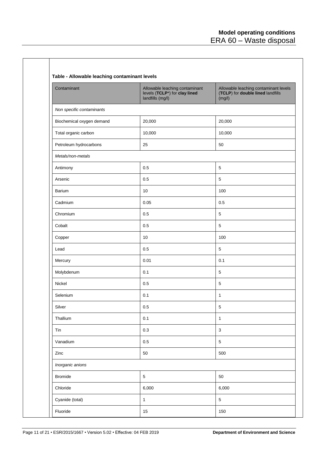$\mathcal{L}_{\mathcal{A}}$ 

| Contaminant               | Allowable leaching contaminant<br>levels (TCLP <sup>*</sup> ) for clay lined<br>landfills (mg/l) | Allowable leaching contaminant levels<br>(TCLP) for double lined landfills<br>(mg/l) |  |  |
|---------------------------|--------------------------------------------------------------------------------------------------|--------------------------------------------------------------------------------------|--|--|
| Non specific contaminants |                                                                                                  |                                                                                      |  |  |
| Biochemical oxygen demand | 20,000                                                                                           | 20,000                                                                               |  |  |
| Total organic carbon      | 10,000                                                                                           | 10,000                                                                               |  |  |
| Petroleum hydrocarbons    | 25                                                                                               | 50                                                                                   |  |  |
| Metals/non-metals         |                                                                                                  |                                                                                      |  |  |
| Antimony                  | 0.5                                                                                              | $\sqrt{5}$                                                                           |  |  |
| Arsenic                   | 0.5                                                                                              | $\sqrt{5}$                                                                           |  |  |
| Barium                    | 10                                                                                               | 100                                                                                  |  |  |
| Cadmium                   | 0.05                                                                                             | 0.5                                                                                  |  |  |
| Chromium                  | 0.5                                                                                              | $\sqrt{5}$                                                                           |  |  |
| Cobalt                    | 0.5                                                                                              | $\sqrt{5}$                                                                           |  |  |
| Copper                    | 10                                                                                               | 100                                                                                  |  |  |
| Lead                      | 0.5                                                                                              | $\sqrt{5}$                                                                           |  |  |
| Mercury                   | 0.01                                                                                             | 0.1                                                                                  |  |  |
| Molybdenum                | 0.1                                                                                              | $\sqrt{5}$                                                                           |  |  |
| Nickel                    | 0.5                                                                                              | $\sqrt{5}$                                                                           |  |  |
| Selenium                  | 0.1                                                                                              | $\mathbf{1}$                                                                         |  |  |
| Silver                    | $0.5\,$                                                                                          | 5                                                                                    |  |  |
| Thallium                  | 0.1                                                                                              | $\mathbf{1}$                                                                         |  |  |
| Tin                       | $0.3\,$                                                                                          | $\mathbf 3$                                                                          |  |  |
| Vanadium                  | $0.5\,$                                                                                          | $\sqrt{5}$                                                                           |  |  |
| Zinc                      | 50                                                                                               | 500                                                                                  |  |  |
| Inorganic anions          |                                                                                                  |                                                                                      |  |  |
| <b>Bromide</b>            | $\,$ 5 $\,$                                                                                      | 50                                                                                   |  |  |
| Chloride                  | 6,000                                                                                            | 6,000                                                                                |  |  |
| Cyanide (total)           | $\mathbf 1$                                                                                      | $\sqrt{5}$                                                                           |  |  |

 $\mathsf{l}$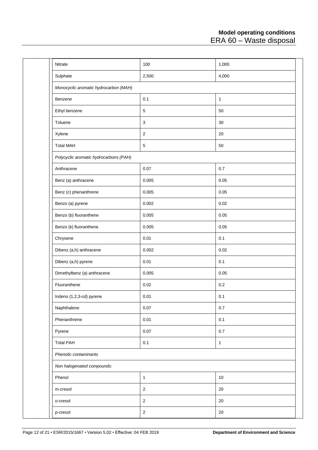| Nitrate                                | 100            | 1,000        |  |  |  |
|----------------------------------------|----------------|--------------|--|--|--|
| Sulphate                               | 2,500          | 4,000        |  |  |  |
| Monocyclic aromatic hydrocarbon (MAH)  |                |              |  |  |  |
| Benzene                                | 0.1            | $\mathbf{1}$ |  |  |  |
| Ethyl benzene                          | $\,$ 5 $\,$    | 50           |  |  |  |
| Toluene                                | $\sqrt{3}$     | 30           |  |  |  |
| Xylene                                 | $\sqrt{2}$     | 20           |  |  |  |
| <b>Total MAH</b>                       | $\mathbf 5$    | 50           |  |  |  |
| Polycyclic aromatic hydrocarbons (PAH) |                |              |  |  |  |
| Anthracene                             | 0.07           | 0.7          |  |  |  |
| Benz (a) anthracene                    | 0.005          | 0.05         |  |  |  |
| Benz (c) phenanthrene                  | 0.005          | 0.05         |  |  |  |
| Benzo (a) pyrene                       | 0.002          | 0.02         |  |  |  |
| Benzo (b) fluoranthene                 | 0.005          | 0.05         |  |  |  |
| Benzo (k) fluoranthene                 | 0.005          | 0.05         |  |  |  |
| Chrysene                               | 0.01           | 0.1          |  |  |  |
| Dibenz (a,h) anthracene                | 0.002          | 0.02         |  |  |  |
| Dibenz (a,h) pyrene                    | 0.01           | 0.1          |  |  |  |
| Dimethylbenz (a) anthracene            | 0.005          | 0.05         |  |  |  |
| Fluoranthene                           | 0.02           | 0.2          |  |  |  |
| Indeno (1,2,3-cd) pyrene               | 0.01           | 0.1          |  |  |  |
| Naphthalene                            | 0.07           | $0.7\,$      |  |  |  |
| Phenanthrene                           | 0.01           | 0.1          |  |  |  |
| Pyrene                                 | 0.07           | 0.7          |  |  |  |
| <b>Total PAH</b>                       | 0.1            | $\mathbf{1}$ |  |  |  |
| Phenolic contaminants                  |                |              |  |  |  |
| Non halogenated compounds:             |                |              |  |  |  |
| Phenol                                 | $\mathbf{1}$   | 10           |  |  |  |
| m-cresol                               | $\overline{2}$ | $20\,$       |  |  |  |
| o-cresol                               | $\overline{2}$ | 20           |  |  |  |
| p-cresol                               | $\overline{2}$ | $20\,$       |  |  |  |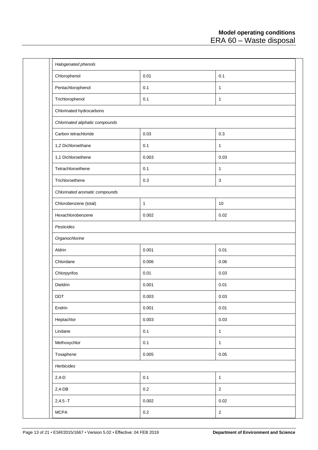| Halogenated phenols             |              |                |  |  |  |  |  |
|---------------------------------|--------------|----------------|--|--|--|--|--|
| Chlorophenol                    | 0.01         | 0.1            |  |  |  |  |  |
| Pentachlorophenol               | 0.1          | 1              |  |  |  |  |  |
| Trichlorophenol                 | 0.1          | $\mathbf{1}$   |  |  |  |  |  |
| Chlorinated hydrocarbons        |              |                |  |  |  |  |  |
| Chlorinated aliphatic compounds |              |                |  |  |  |  |  |
| Carbon tetrachloride            | 0.03         | 0.3            |  |  |  |  |  |
| 1,2 Dichloroethane              | 0.1          | 1              |  |  |  |  |  |
| 1,1 Dichloroethene              | 0.003        | 0.03           |  |  |  |  |  |
| Tetrachloroethene               | 0.1          | 1              |  |  |  |  |  |
| Trichloroethene                 | 0.3          | $\sqrt{3}$     |  |  |  |  |  |
| Chlorinated aromatic compounds  |              |                |  |  |  |  |  |
| Chlorobenzene (total)           | $\mathbf{1}$ | $10$           |  |  |  |  |  |
| Hexachlorobenzene               | 0.002        | 0.02           |  |  |  |  |  |
| Pesticides                      |              |                |  |  |  |  |  |
| Organochlorine                  |              |                |  |  |  |  |  |
| Aldrin                          | 0.001        | 0.01           |  |  |  |  |  |
| Chlordane                       | 0.006        | 0.06           |  |  |  |  |  |
| Chlorpyrifos                    | 0.01         | 0.03           |  |  |  |  |  |
| Dieldrin                        | 0.001        | 0.01           |  |  |  |  |  |
| <b>DDT</b>                      | 0.003        | 0.03           |  |  |  |  |  |
| Endrin                          | 0.001        | 0.01           |  |  |  |  |  |
| Heptachlor                      | 0.003        | 0.03           |  |  |  |  |  |
| Lindane                         | 0.1          | $\mathbf{1}$   |  |  |  |  |  |
| Methoxychlor                    | 0.1          | $\mathbf{1}$   |  |  |  |  |  |
| Toxaphene                       | 0.005        | $0.05\,$       |  |  |  |  |  |
| Herbicides                      |              |                |  |  |  |  |  |
| $2,4-D$                         | 0.1          | $\mathbf{1}$   |  |  |  |  |  |
| $2,4$ -DB                       | $0.2\,$      | $\sqrt{2}$     |  |  |  |  |  |
| $2,4,5 - T$                     | 0.002        | 0.02           |  |  |  |  |  |
| <b>MCPA</b>                     | $0.2\,$      | $\overline{2}$ |  |  |  |  |  |
|                                 |              |                |  |  |  |  |  |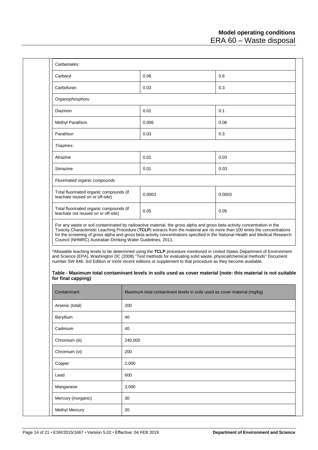| Carbaryl                                                                             |         | 0.06                                                                                                                                                                                                                                                                                                                                                                                     | 0.6                                                                                                                      |
|--------------------------------------------------------------------------------------|---------|------------------------------------------------------------------------------------------------------------------------------------------------------------------------------------------------------------------------------------------------------------------------------------------------------------------------------------------------------------------------------------------|--------------------------------------------------------------------------------------------------------------------------|
| Carbofuran                                                                           |         | 0.03                                                                                                                                                                                                                                                                                                                                                                                     | 0.3                                                                                                                      |
| Organophosphoru                                                                      |         |                                                                                                                                                                                                                                                                                                                                                                                          |                                                                                                                          |
| Diazinon                                                                             |         | 0.01                                                                                                                                                                                                                                                                                                                                                                                     | 0.1                                                                                                                      |
| Methyl Parathion                                                                     |         | 0.006                                                                                                                                                                                                                                                                                                                                                                                    | 0.06                                                                                                                     |
| Parathion                                                                            |         | 0.03                                                                                                                                                                                                                                                                                                                                                                                     | 0.3                                                                                                                      |
| Triazines:                                                                           |         |                                                                                                                                                                                                                                                                                                                                                                                          |                                                                                                                          |
| Atrazine                                                                             |         | 0.01                                                                                                                                                                                                                                                                                                                                                                                     | 0.03                                                                                                                     |
| Simazine                                                                             |         | 0.01                                                                                                                                                                                                                                                                                                                                                                                     | 0.03                                                                                                                     |
| Fluorinated organic compounds                                                        |         |                                                                                                                                                                                                                                                                                                                                                                                          |                                                                                                                          |
| Total fluorinated organic compounds (if<br>leachate reused on or off-site)           |         | 0.0003                                                                                                                                                                                                                                                                                                                                                                                   | 0.0003                                                                                                                   |
| Total fluorinated organic compounds (if<br>leachate not reused on or off-site)       |         | 0.05                                                                                                                                                                                                                                                                                                                                                                                     | 0.05                                                                                                                     |
|                                                                                      |         | Toxicity Characteristic Leaching Procedure (TCLP) extracts from the material are no more than 100 times the concentrations<br>for the screening of gross alpha and gross beta activity concentrations specified in the National Health and Medical Research<br>*Allowable leaching levels to be determined using the TCLP procedure mentioned in United States Department of Environment |                                                                                                                          |
| Council (NHMRC) Australian Drinking Water Guidelines, 2011.                          |         | and Science (EPA), Washington DC (2008) "Test methods for evaluating solid waste, physical/chemical methods" Document<br>number SW 846. 3rd Edition or more recent editions or supplement to that procedure as they become available.<br>Table - Maximum total contaminant levels in soils used as cover material (note: this material is not suitable                                   |                                                                                                                          |
| Contaminant                                                                          |         | Maximum total contaminant levels in soils used as cover material (mg/kg)                                                                                                                                                                                                                                                                                                                 |                                                                                                                          |
|                                                                                      | 200     |                                                                                                                                                                                                                                                                                                                                                                                          |                                                                                                                          |
|                                                                                      | 40      |                                                                                                                                                                                                                                                                                                                                                                                          |                                                                                                                          |
|                                                                                      | 40      |                                                                                                                                                                                                                                                                                                                                                                                          |                                                                                                                          |
|                                                                                      | 240,000 |                                                                                                                                                                                                                                                                                                                                                                                          |                                                                                                                          |
|                                                                                      | 200     |                                                                                                                                                                                                                                                                                                                                                                                          |                                                                                                                          |
| Arsenic (total)<br>Beryllium<br>Cadmium<br>Chromium (iii)<br>Chromium (vi)<br>Copper | 2,000   |                                                                                                                                                                                                                                                                                                                                                                                          |                                                                                                                          |
| for final capping)<br>Lead                                                           | 600     |                                                                                                                                                                                                                                                                                                                                                                                          |                                                                                                                          |
| Manganese                                                                            | 3,000   |                                                                                                                                                                                                                                                                                                                                                                                          |                                                                                                                          |
| Mercury (inorganic)                                                                  | 30      |                                                                                                                                                                                                                                                                                                                                                                                          | For any waste or soil contaminated by radioactive material, the gross alpha and gross beta activity concentration in the |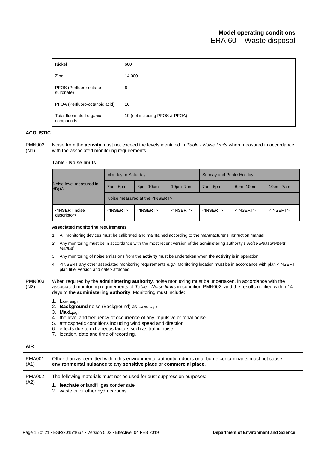<span id="page-14-0"></span>

|                       | Nickel                                                                                                                                                                                                                                                                                                                                                                                                                                                                                                                                                                                                                                                         |                    | 600    |                                         |                   |                                   |                   |                   |  |
|-----------------------|----------------------------------------------------------------------------------------------------------------------------------------------------------------------------------------------------------------------------------------------------------------------------------------------------------------------------------------------------------------------------------------------------------------------------------------------------------------------------------------------------------------------------------------------------------------------------------------------------------------------------------------------------------------|--------------------|--------|-----------------------------------------|-------------------|-----------------------------------|-------------------|-------------------|--|
|                       | Zinc                                                                                                                                                                                                                                                                                                                                                                                                                                                                                                                                                                                                                                                           |                    | 14,000 |                                         |                   |                                   |                   |                   |  |
|                       | PFOS (Perfluoro-octane<br>sulfonate)                                                                                                                                                                                                                                                                                                                                                                                                                                                                                                                                                                                                                           |                    | 6      |                                         |                   |                                   |                   |                   |  |
|                       | PFOA (Perfluoro-octanoic acid)                                                                                                                                                                                                                                                                                                                                                                                                                                                                                                                                                                                                                                 |                    | 16     |                                         |                   |                                   |                   |                   |  |
|                       | Total fluorinated organic<br>compounds                                                                                                                                                                                                                                                                                                                                                                                                                                                                                                                                                                                                                         |                    |        | 10 (not including PFOS & PFOA)          |                   |                                   |                   |                   |  |
| <b>ACOUSTIC</b>       |                                                                                                                                                                                                                                                                                                                                                                                                                                                                                                                                                                                                                                                                |                    |        |                                         |                   |                                   |                   |                   |  |
| <b>PMN002</b><br>(N1) | Noise from the <b>activity</b> must not exceed the levels identified in Table - Noise limits when measured in accordance<br>with the associated monitoring requirements.                                                                                                                                                                                                                                                                                                                                                                                                                                                                                       |                    |        |                                         |                   |                                   |                   |                   |  |
|                       | <b>Table - Noise limits</b>                                                                                                                                                                                                                                                                                                                                                                                                                                                                                                                                                                                                                                    |                    |        |                                         |                   |                                   |                   |                   |  |
|                       |                                                                                                                                                                                                                                                                                                                                                                                                                                                                                                                                                                                                                                                                | Monday to Saturday |        |                                         |                   | <b>Sunday and Public Holidays</b> |                   |                   |  |
|                       | Noise level measured in<br>dB(A)                                                                                                                                                                                                                                                                                                                                                                                                                                                                                                                                                                                                                               | 7am-6pm            |        | 6pm-10pm                                | 10pm-7am          | 7am-6pm                           | 6pm-10pm          | 10pm-7am          |  |
|                       |                                                                                                                                                                                                                                                                                                                                                                                                                                                                                                                                                                                                                                                                |                    |        | Noise measured at the <insert></insert> |                   |                                   |                   |                   |  |
|                       | <insert noise<br="">descriptor&gt;</insert>                                                                                                                                                                                                                                                                                                                                                                                                                                                                                                                                                                                                                    | <insert></insert>  |        | <insert></insert>                       | <insert></insert> | <insert></insert>                 | <insert></insert> | <insert></insert> |  |
|                       | <b>Associated monitoring requirements</b><br>1. All monitoring devices must be calibrated and maintained according to the manufacturer's instruction manual.<br>2. Any monitoring must be in accordance with the most recent version of the administering authority's Noise Measurement<br>Manual.<br>3. Any monitoring of noise emissions from the activity must be undertaken when the activity is in operation.<br>4. <insert any="" associated="" e.g.="" monitoring="" other="" requirements=""> Monitoring location must be in accordance with plan <insert<br>plan title, version and date&gt; attached.</insert<br></insert>                           |                    |        |                                         |                   |                                   |                   |                   |  |
| <b>PMN003</b><br>(N2) | When required by the administering authority, noise monitoring must be undertaken, in accordance with the<br>associated monitoring requirements of Table - Noise limits in condition PMN002, and the results notified within 14<br>days to the administering authority. Monitoring must include:<br>1. $L_{Aeq, adj, T}$<br>2. Background noise (Background) as LA 90, adj, T<br>3. MaxL <sub>pA.T</sub><br>4. the level and frequency of occurrence of any impulsive or tonal noise<br>5. atmospheric conditions including wind speed and direction<br>6. effects due to extraneous factors such as traffic noise<br>7. location, date and time of recording. |                    |        |                                         |                   |                                   |                   |                   |  |
| <b>AIR</b>            |                                                                                                                                                                                                                                                                                                                                                                                                                                                                                                                                                                                                                                                                |                    |        |                                         |                   |                                   |                   |                   |  |
| <b>PMA001</b><br>(A1) | Other than as permitted within this environmental authority, odours or airborne contaminants must not cause<br>environmental nuisance to any sensitive place or commercial place.                                                                                                                                                                                                                                                                                                                                                                                                                                                                              |                    |        |                                         |                   |                                   |                   |                   |  |
| <b>PMA002</b><br>(A2) | The following materials must not be used for dust suppression purposes:<br>1. leachate or landfill gas condensate<br>2. waste oil or other hydrocarbons.                                                                                                                                                                                                                                                                                                                                                                                                                                                                                                       |                    |        |                                         |                   |                                   |                   |                   |  |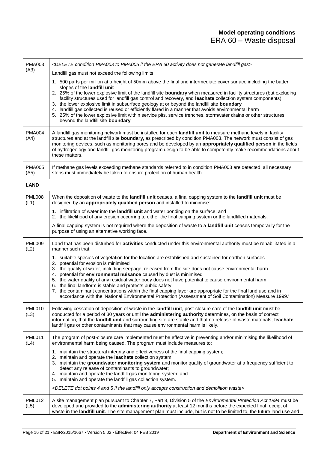| <b>PMA003</b><br>(A3) | <delete 60="" activity="" condition="" does="" era="" gas="" generate="" if="" landfill="" not="" pma003="" pma005="" the="" to=""></delete>                                                                                                                                                                                                                                                                                                                                                                                                                                                                                                                                                                                     |  |  |  |
|-----------------------|----------------------------------------------------------------------------------------------------------------------------------------------------------------------------------------------------------------------------------------------------------------------------------------------------------------------------------------------------------------------------------------------------------------------------------------------------------------------------------------------------------------------------------------------------------------------------------------------------------------------------------------------------------------------------------------------------------------------------------|--|--|--|
|                       | Landfill gas must not exceed the following limits:                                                                                                                                                                                                                                                                                                                                                                                                                                                                                                                                                                                                                                                                               |  |  |  |
|                       | 1. 500 parts per million at a height of 50mm above the final and intermediate cover surface including the batter<br>slopes of the landfill unit                                                                                                                                                                                                                                                                                                                                                                                                                                                                                                                                                                                  |  |  |  |
|                       | 2. 25% of the lower explosive limit of the landfill site boundary when measured in facility structures (but excluding<br>facility structures used for landfill gas control and recovery, and leachate collection system components)<br>3. the lower explosive limit in subsurface geology at or beyond the landfill site boundary<br>4. landfill gas collected is reused or efficiently flared in a manner that avoids environmental harm<br>5. 25% of the lower explosive limit within service pits, service trenches, stormwater drains or other structures<br>beyond the landfill site boundary.                                                                                                                              |  |  |  |
| <b>PMA004</b><br>(A4) | A landfill gas monitoring network must be installed for each landfill unit to measure methane levels in facility<br>structures and at the landfill site boundary, as prescribed by condition PMA003. The network must consist of gas<br>monitoring devices, such as monitoring bores and be developed by an appropriately qualified person in the fields<br>of hydrogeology and landfill gas monitoring program design to be able to competently make recommendations about<br>these matters.                                                                                                                                                                                                                                    |  |  |  |
| <b>PMA005</b><br>(A5) | If methane gas levels exceeding methane standards referred to in condition PMA003 are detected, all necessary<br>steps must immediately be taken to ensure protection of human health.                                                                                                                                                                                                                                                                                                                                                                                                                                                                                                                                           |  |  |  |
| <b>LAND</b>           |                                                                                                                                                                                                                                                                                                                                                                                                                                                                                                                                                                                                                                                                                                                                  |  |  |  |
| <b>PML008</b><br>(L1) | When the deposition of waste to the landfill unit ceases, a final capping system to the landfill unit must be<br>designed by an appropriately qualified person and installed to minimise:                                                                                                                                                                                                                                                                                                                                                                                                                                                                                                                                        |  |  |  |
|                       | 1. infiltration of water into the landfill unit and water ponding on the surface; and<br>2. the likelihood of any erosion occurring to either the final capping system or the landfilled materials.                                                                                                                                                                                                                                                                                                                                                                                                                                                                                                                              |  |  |  |
|                       | A final capping system is not required where the deposition of waste to a landfill unit ceases temporarily for the<br>purpose of using an alternative working face.                                                                                                                                                                                                                                                                                                                                                                                                                                                                                                                                                              |  |  |  |
| <b>PML009</b><br>(L2) | Land that has been disturbed for activities conducted under this environmental authority must be rehabilitated in a<br>manner such that:                                                                                                                                                                                                                                                                                                                                                                                                                                                                                                                                                                                         |  |  |  |
|                       | 1. suitable species of vegetation for the location are established and sustained for earthen surfaces<br>2. potential for erosion is minimised<br>3. the quality of water, including seepage, released from the site does not cause environmental harm<br>4. potential for environmental nuisance caused by dust is minimised<br>5. the water quality of any residual water body does not have potential to cause environmental harm<br>6. the final landform is stable and protects public safety<br>7. the contaminant concentrations within the final capping layer are appropriate for the final land use and in<br>accordance with the 'National Environmental Protection (Assessment of Soil Contamination) Measure 1999.' |  |  |  |
| <b>PML010</b><br>(L3) | Following cessation of deposition of waste in the landfill unit, post-closure care of the landfill unit must be<br>conducted for a period of 30 years or until the administering authority determines, on the basis of correct<br>information, that the landfill unit and surrounding site are stable and that no release of waste materials, leachate,<br>landfill gas or other contaminants that may cause environmental harm is likely.                                                                                                                                                                                                                                                                                       |  |  |  |
| <b>PML011</b><br>(L4) | The program of post-closure care implemented must be effective in preventing and/or minimising the likelihood of<br>environmental harm being caused. The program must include measures to:                                                                                                                                                                                                                                                                                                                                                                                                                                                                                                                                       |  |  |  |
|                       | 1. maintain the structural integrity and effectiveness of the final capping system;<br>2. maintain and operate the leachate collection system;<br>3. maintain the groundwater monitoring system and monitor quality of groundwater at a frequency sufficient to<br>detect any release of contaminants to groundwater;<br>4. maintain and operate the landfill gas monitoring system; and<br>5. maintain and operate the landfill gas collection system.                                                                                                                                                                                                                                                                          |  |  |  |
|                       | <delete 4="" 5="" accepts="" and="" construction="" demolition="" dot="" if="" landfill="" only="" points="" the="" waste=""></delete>                                                                                                                                                                                                                                                                                                                                                                                                                                                                                                                                                                                           |  |  |  |
| <b>PML012</b><br>(L5) | A site management plan pursuant to Chapter 7, Part 8, Division 5 of the Environmental Protection Act 1994 must be<br>developed and provided to the administering authority at least 12 months before the expected final receipt of<br>waste in the landfill unit. The site management plan must include, but is not to be limited to, the future land use and                                                                                                                                                                                                                                                                                                                                                                    |  |  |  |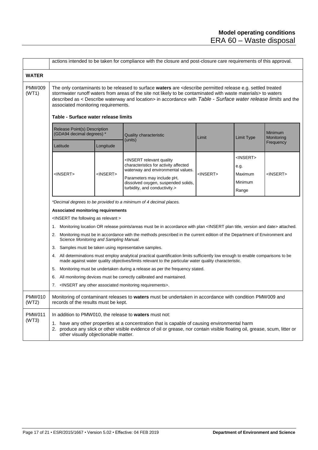<span id="page-16-0"></span>

|                        | actions intended to be taken for compliance with the closure and post-closure care requirements of this approval.                                                                                                                                                                                                                                                                                                                                                                                                                                                     |                   |                                                                                                                                                                                                                                     |                   |                                                              |                       |  |  |
|------------------------|-----------------------------------------------------------------------------------------------------------------------------------------------------------------------------------------------------------------------------------------------------------------------------------------------------------------------------------------------------------------------------------------------------------------------------------------------------------------------------------------------------------------------------------------------------------------------|-------------------|-------------------------------------------------------------------------------------------------------------------------------------------------------------------------------------------------------------------------------------|-------------------|--------------------------------------------------------------|-----------------------|--|--|
| <b>WATER</b>           |                                                                                                                                                                                                                                                                                                                                                                                                                                                                                                                                                                       |                   |                                                                                                                                                                                                                                     |                   |                                                              |                       |  |  |
| <b>PMW009</b><br>(WT1) | The only contaminants to be released to surface waters are <describe e.g.="" permitted="" release="" settled="" treated<br="">stormwater runoff waters from areas of the site not likely to be contaminated with waste materials&gt; to waters<br/>described as &lt; Describe waterway and location&gt; in accordance with Table - Surface water release limits and the<br/>associated monitoring requirements.<br/>Table - Surface water release limits</describe>                                                                                                   |                   |                                                                                                                                                                                                                                     |                   |                                                              |                       |  |  |
|                        | Release Point(s) Description<br>(GDA94 decimal degrees) *                                                                                                                                                                                                                                                                                                                                                                                                                                                                                                             |                   | <b>Quality characteristic</b><br>(units)                                                                                                                                                                                            | Limit             | <b>Limit Type</b>                                            | Minimum<br>Monitoring |  |  |
|                        | Latitude                                                                                                                                                                                                                                                                                                                                                                                                                                                                                                                                                              | Longitude         |                                                                                                                                                                                                                                     |                   |                                                              | Frequency             |  |  |
|                        | <insert></insert>                                                                                                                                                                                                                                                                                                                                                                                                                                                                                                                                                     | <insert></insert> | <insert quality<br="" relevant="">characteristics for activity affected<br/>waterway and environmental values.<br/>Parameters may include pH,<br/>dissolved oxygen, suspended solids,<br/>turbidity, and conductivity.&gt;</insert> | <insert></insert> | <insert><br/>e.g.<br/>Maximum<br/>Minimum<br/>Range</insert> | <insert></insert>     |  |  |
|                        | *Decimal degrees to be provided to a minimum of 4 decimal places.                                                                                                                                                                                                                                                                                                                                                                                                                                                                                                     |                   |                                                                                                                                                                                                                                     |                   |                                                              |                       |  |  |
|                        | <b>Associated monitoring requirements</b><br>$\leq$ INSERT the following as relevant $\geq$                                                                                                                                                                                                                                                                                                                                                                                                                                                                           |                   |                                                                                                                                                                                                                                     |                   |                                                              |                       |  |  |
|                        |                                                                                                                                                                                                                                                                                                                                                                                                                                                                                                                                                                       |                   |                                                                                                                                                                                                                                     |                   |                                                              |                       |  |  |
|                        | 1.                                                                                                                                                                                                                                                                                                                                                                                                                                                                                                                                                                    |                   | Monitoring location OR release points/areas must be in accordance with plan <insert and="" date="" plan="" title,="" version=""> attached.</insert>                                                                                 |                   |                                                              |                       |  |  |
|                        | Monitoring must be in accordance with the methods prescribed in the current edition of the Department of Environment and<br>2.<br>Science Monitoring and Sampling Manual.<br>3. Samples must be taken using representative samples.<br>4. All determinations must employ analytical practical quantification limits sufficiently low enough to enable comparisons to be<br>made against water quality objectives/limits relevant to the particular water quality characteristic.<br>Monitoring must be undertaken during a release as per the frequency stated.<br>5. |                   |                                                                                                                                                                                                                                     |                   |                                                              |                       |  |  |
|                        |                                                                                                                                                                                                                                                                                                                                                                                                                                                                                                                                                                       |                   |                                                                                                                                                                                                                                     |                   |                                                              |                       |  |  |
|                        |                                                                                                                                                                                                                                                                                                                                                                                                                                                                                                                                                                       |                   |                                                                                                                                                                                                                                     |                   |                                                              |                       |  |  |
|                        |                                                                                                                                                                                                                                                                                                                                                                                                                                                                                                                                                                       |                   |                                                                                                                                                                                                                                     |                   |                                                              |                       |  |  |
|                        | 6.                                                                                                                                                                                                                                                                                                                                                                                                                                                                                                                                                                    |                   | All monitoring devices must be correctly calibrated and maintained.                                                                                                                                                                 |                   |                                                              |                       |  |  |
|                        |                                                                                                                                                                                                                                                                                                                                                                                                                                                                                                                                                                       |                   | 7. <insert any="" associated="" monitoring="" other="" requirements="">.</insert>                                                                                                                                                   |                   |                                                              |                       |  |  |
| <b>PMW010</b><br>(WT2) | Monitoring of contaminant releases to waters must be undertaken in accordance with condition PMW009 and<br>records of the results must be kept.                                                                                                                                                                                                                                                                                                                                                                                                                       |                   |                                                                                                                                                                                                                                     |                   |                                                              |                       |  |  |
| <b>PMW011</b><br>(WT3) | In addition to PMW010, the release to waters must not:                                                                                                                                                                                                                                                                                                                                                                                                                                                                                                                |                   |                                                                                                                                                                                                                                     |                   |                                                              |                       |  |  |
|                        | 1. have any other properties at a concentration that is capable of causing environmental harm<br>2. produce any slick or other visible evidence of oil or grease, nor contain visible floating oil, grease, scum, litter or<br>other visually objectionable matter.                                                                                                                                                                                                                                                                                                   |                   |                                                                                                                                                                                                                                     |                   |                                                              |                       |  |  |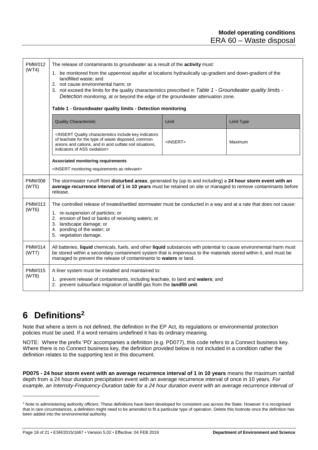<span id="page-17-0"></span>

| <b>PMW012</b><br>(WT4) | The release of contaminants to groundwater as a result of the <b>activity</b> must:<br>1. be monitored from the uppermost aquifer at locations hydraulically up-gradient and down-gradient of the<br>landfilled waste; and<br>2. not cause environmental harm; or<br>3. not exceed the limits for the quality characteristics prescribed in Table 1 - Groundwater quality limits -<br>Detection monitoring, at or beyond the edge of the groundwater attenuation zone.<br>Table 1 - Groundwater quality limits - Detection monitoring |                   |                   |  |  |  |  |
|------------------------|---------------------------------------------------------------------------------------------------------------------------------------------------------------------------------------------------------------------------------------------------------------------------------------------------------------------------------------------------------------------------------------------------------------------------------------------------------------------------------------------------------------------------------------|-------------------|-------------------|--|--|--|--|
|                        | <b>Quality Characteristic</b>                                                                                                                                                                                                                                                                                                                                                                                                                                                                                                         | Limit             | <b>Limit Type</b> |  |  |  |  |
|                        | <insert characteristics="" include="" indicators<br="" key="" quality="">of leachate for the type of waste disposed, common<br/>anions and cations, and in acid sulfate soil situations,<br/>indicators of ASS oxidation&gt;</insert>                                                                                                                                                                                                                                                                                                 | <insert></insert> | Maximum           |  |  |  |  |
|                        | <b>Associated monitoring requirements</b><br><insert as="" monitoring="" relevant="" requirements=""></insert>                                                                                                                                                                                                                                                                                                                                                                                                                        |                   |                   |  |  |  |  |
| <b>PMW008</b><br>(WT5) | The stormwater runoff from disturbed areas, generated by (up to and including) a 24 hour storm event with an<br>average recurrence interval of 1 in 10 years must be retained on site or managed to remove contaminants before<br>release.                                                                                                                                                                                                                                                                                            |                   |                   |  |  |  |  |
| <b>PMW013</b><br>(WT6) | The controlled release of treated/settled stormwater must be conducted in a way and at a rate that does not cause:<br>1. re-suspension of particles; or<br>2. erosion of bed or banks of receiving waters; or<br>3. landscape damage; or<br>4. ponding of the water; or<br>5. vegetation damage.                                                                                                                                                                                                                                      |                   |                   |  |  |  |  |
| <b>PMW014</b><br>(WT7) | All batteries, liquid chemicals, fuels, and other liquid substances with potential to cause environmental harm must<br>be stored within a secondary containment system that is impervious to the materials stored within it, and must be<br>managed to prevent the release of contaminants to waters or land.                                                                                                                                                                                                                         |                   |                   |  |  |  |  |
| <b>PMW015</b><br>(WT8) | A liner system must be installed and maintained to:<br>1. prevent release of contaminants, including leachate, to land and waters; and<br>2. prevent subsurface migration of landfill gas from the landfill unit.                                                                                                                                                                                                                                                                                                                     |                   |                   |  |  |  |  |

### **6 Definitions<sup>2</sup>**

l

Note that where a term is not defined, the definition in the EP Act, its regulations or environmental protection policies must be used. If a word remains undefined it has its ordinary meaning.

NOTE: Where the prefix 'PD' accompanies a definition (e.g. PD077), this code refers to a Connect business key. Where there is no Connect business key, the definition provided below is not included in a condition rather the definition relates to the supporting text in this document.

**PD075 - 24 hour storm event with an average recurrence interval of 1 in 10 years** means the maximum rainfall depth from a 24 hour duration precipitation event with an average recurrence interval of once in 10 years. *For example, an Intensity-Frequency-Duration table for a 24 hour duration event with an average recurrence interval of* 

<sup>&</sup>lt;sup>2</sup> Note to administering authority officers: These definitions have been developed for consistent use across the State. However it is recognised that in rare circumstances, a definition might need to be amended to fit a particular type of operation. Delete this footnote once the definition has been added into the environmental authority.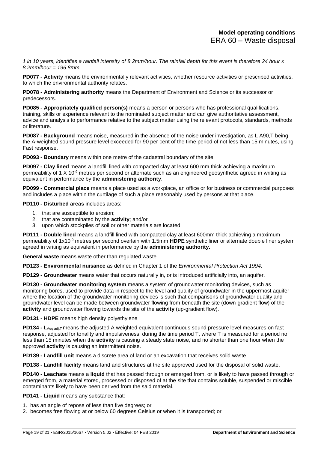*1 in 10 years, identifies a rainfall intensity of 8.2mm/hour. The rainfall depth for this event is therefore 24 hour x 8.2mm/hour = 196.8mm.*

**PD077 - Activity** means the environmentally relevant activities, whether resource activities or prescribed activities, to which the environmental authority relates.

**PD078 - Administering authority** means the Department of Environment and Science or its successor or predecessors.

**PD085 - Appropriately qualified person(s)** means a person or persons who has professional qualifications, training, skills or experience relevant to the nominated subject matter and can give authoritative assessment, advice and analysis to performance relative to the subject matter using the relevant protocols, standards, methods or literature.

**PD087 - Background** means noise, measured in the absence of the noise under investigation, as L A90,T being the A-weighted sound pressure level exceeded for 90 per cent of the time period of not less than 15 minutes, using Fast response.

**PD093 - Boundary** means within one metre of the cadastral boundary of the site.

**PD097 - Clay lined** means a landfill lined with compacted clay at least 600 mm thick achieving a maximum permeability of 1 X 10-9 metres per second or alternate such as an engineered geosynthetic agreed in writing as equivalent in performance by the **administering authority**.

**PD099 - Commercial place** means a place used as a workplace, an office or for business or commercial purposes and includes a place within the curtilage of such a place reasonably used by persons at that place.

**PD110 - Disturbed areas** includes areas:

- 1. that are susceptible to erosion;
- 2. that are contaminated by the **activity**; and/or
- 3. upon which stockpiles of soil or other materials are located.

**PD111 - Double lined** means a landfill lined with compacted clay at least 600mm thick achieving a maximum permeability of 1x10-9 metres per second overlain with 1.5mm **HDPE** synthetic liner or alternate double liner system agreed in writing as equivalent in performance by the **administering authority.**

**General waste** means waste other than regulated waste.

**PD123 - Environmental nuisance** as defined in Chapter 1 of the *Environmental Protection Act 1994*.

**PD129 - Groundwater** means water that occurs naturally in, or is introduced artificially into, an aquifer.

**PD130 - Groundwater monitoring system** means a system of groundwater monitoring devices, such as monitoring bores, used to provide data in respect to the level and quality of groundwater in the uppermost aquifer where the location of the groundwater monitoring devices is such that comparisons of groundwater quality and groundwater level can be made between groundwater flowing from beneath the site (down-gradient flow) of the **activity** and groundwater flowing towards the site of the **activity** (up-gradient flow).

**PD131 - HDPE** means high density polyethylene

**PD134 - L<sub>Aeg adi,T</sub>** means the adjusted A weighted equivalent continuous sound pressure level measures on fast response, adjusted for tonality and impulsiveness, during the time period T, where T is measured for a period no less than 15 minutes when the **activity** is causing a steady state noise, and no shorter than one hour when the approved **activity** is causing an intermittent noise.

**PD139 - Landfill unit** means a discrete area of land or an excavation that receives solid waste.

**PD138 - Landfill facility** means land and structures at the site approved used for the disposal of solid waste.

**PD140 - Leachate** means a **liquid** that has passed through or emerged from, or is likely to have passed through or emerged from, a material stored, processed or disposed of at the site that contains soluble, suspended or miscible contaminants likely to have been derived from the said material.

**PD141 - Liquid** means any substance that:

- 1. has an angle of repose of less than five degrees; or
- 2. becomes free flowing at or below 60 degrees Celsius or when it is transported; or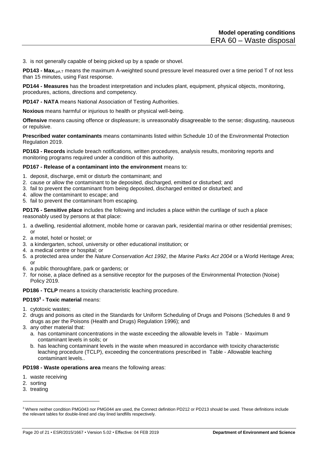3. is not generally capable of being picked up by a spade or shovel.

**PD143 - Max**LpA,T means the maximum A-weighted sound pressure level measured over a time period T of not less than 15 minutes, using Fast response.

**PD144 - Measures** has the broadest interpretation and includes plant, equipment, physical objects, monitoring, procedures, actions, directions and competency.

**PD147 - NATA** means National Association of Testing Authorities.

**Noxious** means harmful or injurious to health or physical well-being.

**Offensive** means causing offence or displeasure; is unreasonably disagreeable to the sense; disgusting, nauseous or repulsive.

**Prescribed water contaminants** means contaminants listed within Schedule 10 of the Environmental Protection Regulation 2019.

**PD163 - Records** include breach notifications, written procedures, analysis results, monitoring reports and monitoring programs required under a condition of this authority.

#### **PD167 - Release of a contaminant into the environment** means to:

- 1. deposit, discharge, emit or disturb the contaminant; and
- 2. cause or allow the contaminant to be deposited, discharged, emitted or disturbed; and
- 3. fail to prevent the contaminant from being deposited, discharged emitted or disturbed; and
- 4. allow the contaminant to escape; and
- 5. fail to prevent the contaminant from escaping.

**PD176 - Sensitive place** includes the following and includes a place within the curtilage of such a place reasonably used by persons at that place:

- 1. a dwelling, residential allotment, mobile home or caravan park, residential marina or other residential premises; or
- 2. a motel, hotel or hostel; or
- 3. a kindergarten, school, university or other educational institution; or
- 4. a medical centre or hospital; or
- 5. a protected area under the *Nature Conservation Act 1992*, the *Marine Parks Act 2004* or a World Heritage Area; or
- 6. a public thoroughfare, park or gardens; or
- 7. for noise, a place defined as a sensitive receptor for the purposes of the Environmental Protection (Noise) Policy 2019.

**PD186 - TCLP** means a toxicity characteristic leaching procedure.

#### **PD193<sup>3</sup> - Toxic material** means:

- 1. cytotoxic wastes;
- 2. drugs and poisons as cited in the Standards for Uniform Scheduling of Drugs and Poisons (Schedules 8 and 9 drugs as per the Poisons (Health and Drugs) Regulation 1996); and
- 3. any other material that:
	- a. has contaminant concentrations in the waste exceeding the allowable levels in Table Maximum contaminant levels in soils; or
	- b. has leaching contaminant levels in the waste when measured in accordance with toxicity characteristic leaching procedure (TCLP), exceeding the concentrations prescribed in Table - Allowable leaching contaminant levels..

**PD198 - Waste operations area** means the following areas:

- 1. waste receiving
- 2. sorting

l

<sup>3.</sup> treating

<sup>3</sup> Where neither condition PMG043 nor PMG044 are used, the Connect definition PD212 or PD213 should be used. These definitions include the relevant tables for double-lined and clay lined landfills respectively.